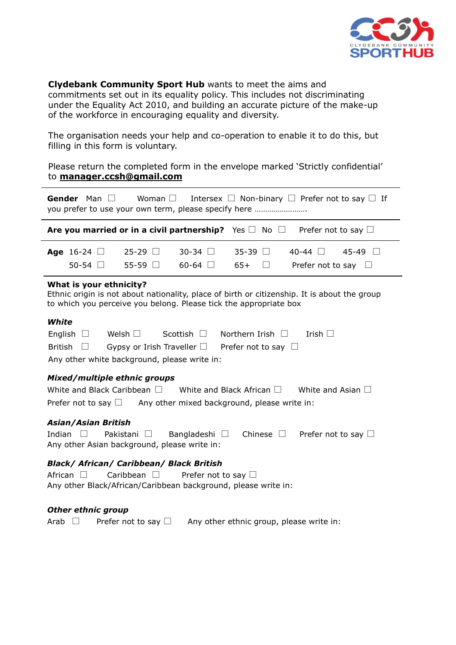

**Clydebank Community Sport Hub** wants to meet the aims and commitments set out in its equality policy. This includes not discriminating under the Equality Act 2010, and building an accurate picture of the make-up of the workforce in encouraging equality and diversity.

The organisation needs your help and co-operation to enable it to do this, but filling in this form is voluntary.

Please return the completed form in the envelope marked 'Strictly confidential' to **manager.ccsh@gmail.com**

| <b>Gender</b> Man $\Box$<br>Woman $\Box$<br>Intersex $\Box$ Non-binary $\Box$ Prefer not to say $\Box$ If<br>you prefer to use your own term, please specify here                                                                    |
|--------------------------------------------------------------------------------------------------------------------------------------------------------------------------------------------------------------------------------------|
| Are you married or in a civil partnership? Yes $\square$ No $\square$<br>Prefer not to say $\Box$                                                                                                                                    |
| $25-29$ $\Box$<br>$30-34$ $\Box$<br>$35 - 39$<br>$40-44$ $\Box$<br>$45-49$ $\Box$<br>Age 16-24 $\Box$<br>50-54 $\Box$<br>55-59 $\Box$<br>$60-64$ $\Box$<br>$65+$<br>Prefer not to say                                                |
| What is your ethnicity?<br>Ethnic origin is not about nationality, place of birth or citizenship. It is about the group<br>to which you perceive you belong. Please tick the appropriate box                                         |
| White<br>Scottish $\Box$ Northern Irish $\Box$<br>English $\Box$<br>Welsh $\Box$<br>Irish $\Box$<br><b>British</b><br>Gypsy or Irish Traveller $\square$ Prefer not to say $\square$<br>Any other white background, please write in: |
| Mixed/multiple ethnic groups<br>White and Black Caribbean $\Box$ White and Black African $\Box$ White and Asian $\Box$<br>Prefer not to say $\Box$ Any other mixed background, please write in:                                      |
| <b>Asian/Asian British</b><br>Indian<br>Chinese $\Box$<br>Pakistani □<br>Bangladeshi $\square$<br>Prefer not to say $\Box$<br>Any other Asian background, please write in:                                                           |
| <b>Black/ African/ Caribbean/ Black British</b><br>African $\Box$<br>Caribbean $\Box$<br>Prefer not to say $\Box$<br>Any other Black/African/Caribbean background, please write in:                                                  |

## *Other ethnic group*

Arab  $\Box$  Prefer not to say  $\Box$  Any other ethnic group, please write in: